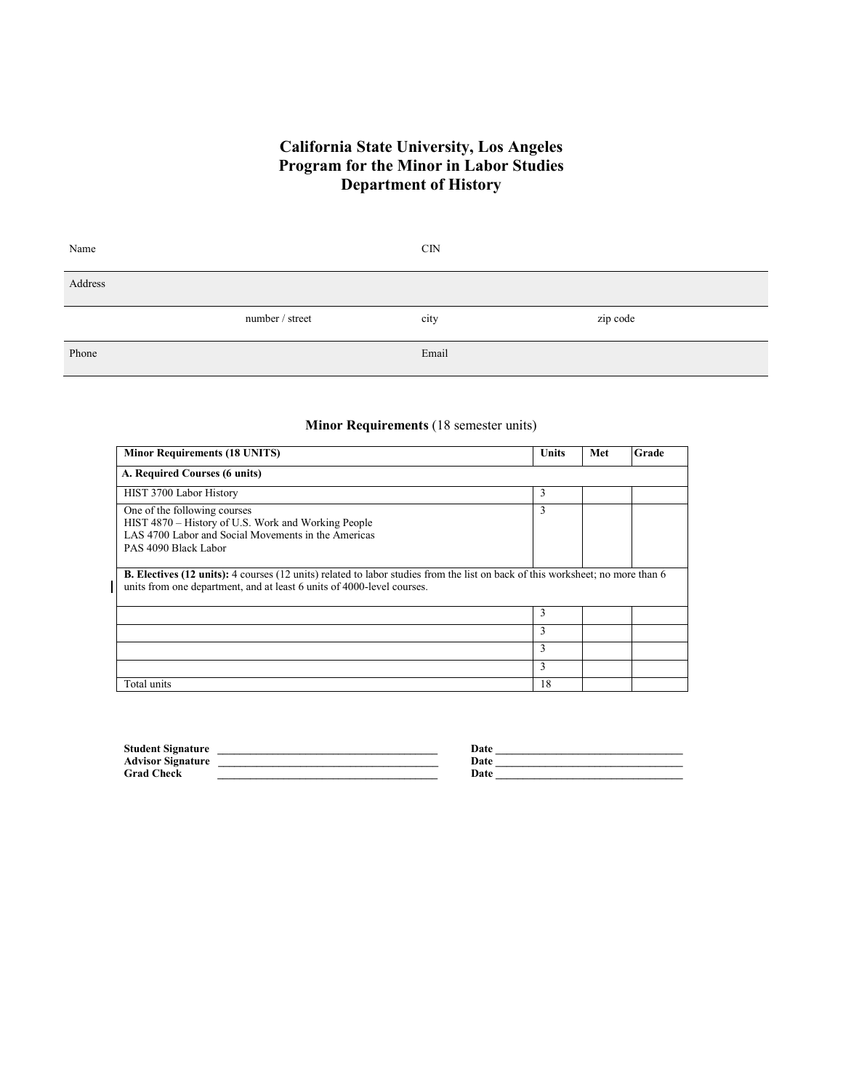## **California State University, Los Angeles Program for the Minor in Labor Studies Department of History**

| Name    |                 | $\overline{\text{CN}}$ |          |
|---------|-----------------|------------------------|----------|
| Address |                 |                        |          |
|         | number / street | city                   | zip code |
| Phone   |                 | Email                  |          |

## **Minor Requirements** (18 semester units)

| <b>Minor Requirements (18 UNITS)</b>                                                                                                                                                                            | <b>Units</b> | Met | Grade |  |  |
|-----------------------------------------------------------------------------------------------------------------------------------------------------------------------------------------------------------------|--------------|-----|-------|--|--|
| A. Required Courses (6 units)                                                                                                                                                                                   |              |     |       |  |  |
| HIST 3700 Labor History                                                                                                                                                                                         | 3            |     |       |  |  |
| One of the following courses<br>HIST 4870 – History of U.S. Work and Working People<br>LAS 4700 Labor and Social Movements in the Americas<br>PAS 4090 Black Labor                                              | 3            |     |       |  |  |
| <b>B.</b> Electives (12 units): 4 courses (12 units) related to labor studies from the list on back of this worksheet; no more than 6<br>units from one department, and at least 6 units of 4000-level courses. |              |     |       |  |  |
|                                                                                                                                                                                                                 | 3            |     |       |  |  |
|                                                                                                                                                                                                                 | 3            |     |       |  |  |
|                                                                                                                                                                                                                 | 3            |     |       |  |  |
|                                                                                                                                                                                                                 | 3            |     |       |  |  |
| Total units                                                                                                                                                                                                     | 18           |     |       |  |  |

| <b>Student Signature</b> | Date |
|--------------------------|------|
| <b>Advisor Signature</b> | Date |
| <b>Grad Check</b>        | Date |
|                          |      |